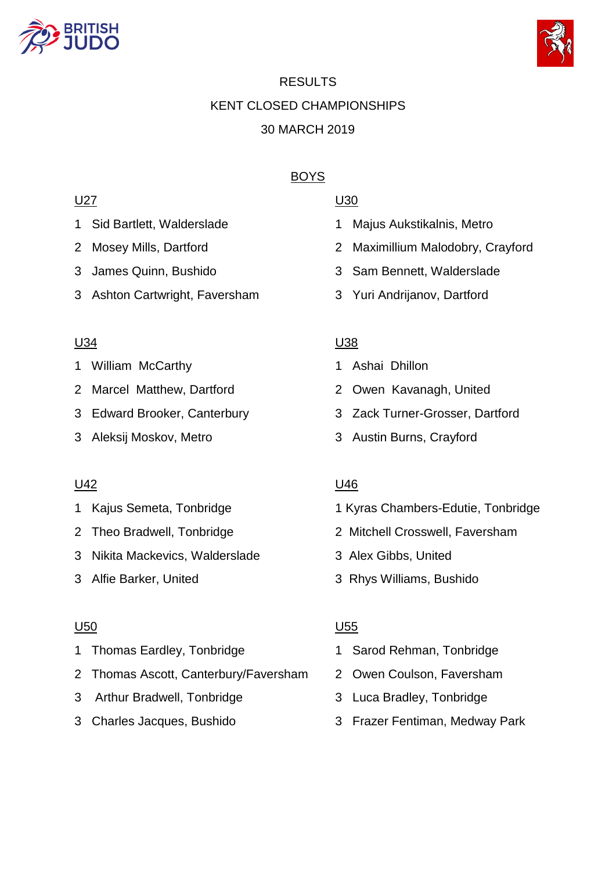



# RESULTS KENT CLOSED CHAMPIONSHIPS 30 MARCH 2019

# BOYS

# <u>U27</u> U30

- 
- 
- 
- 3 Ashton Cartwright, Faversham 3 Yuri Andrijanov, Dartford

### <u>U34</u> U32

- 1 William McCarthy 1 Ashai Dhillon
- 2 Marcel Matthew, Dartford 2 Owen Kavanagh, United
- 
- 

- 
- 
- 3 Nikita Mackevics, Walderslade 3 Alex Gibbs, United
- 

### U50 U55

- 1 Thomas Eardley, Tonbridge 1 Sarod Rehman, Tonbridge
- 2 Thomas Ascott, Canterbury/Faversham 2 Owen Coulson, Faversham
- 3 Arthur Bradwell, Tonbridge 3 Luca Bradley, Tonbridge
- 

- 1 Sid Bartlett, Walderslade 1 Majus Aukstikalnis, Metro
- 2 Mosey Mills, Dartford 2 Maximillium Malodobry, Crayford
- 3 James Quinn, Bushido 3 Sam Bennett, Walderslade
	-

- 
- 
- 3 Edward Brooker, Canterbury 3 Zack Turner-Grosser, Dartford
- 3 Aleksij Moskov, Metro 3 Austin Burns, Crayford

# U42 U46

- 1 Kajus Semeta, Tonbridge 1 Kyras Chambers-Edutie, Tonbridge
- 2 Theo Bradwell, Tonbridge 2 Mitchell Crosswell, Faversham
	-
- 3 Alfie Barker, United 3 Rhys Williams, Bushido

- 
- 
- 
- 3 Charles Jacques, Bushido 3 Frazer Fentiman, Medway Park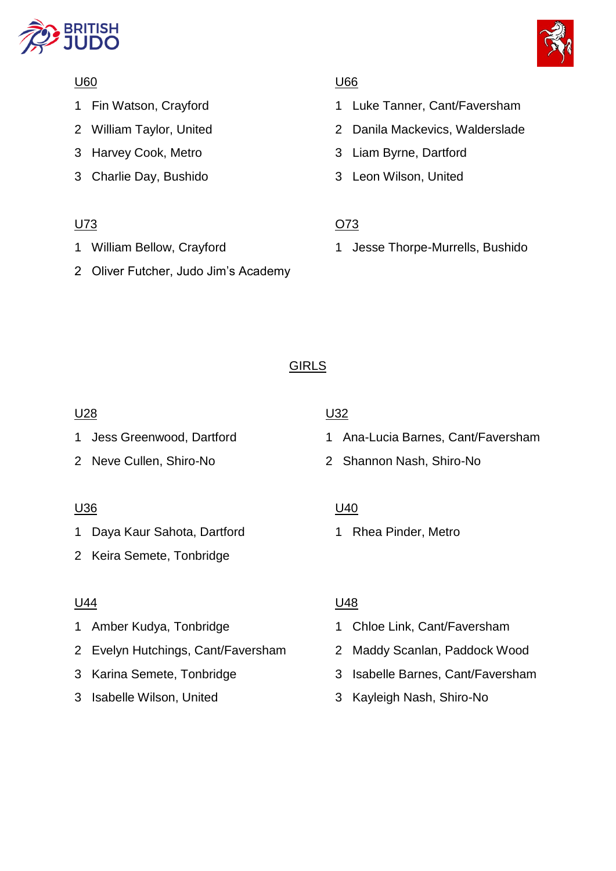



# U60 U66

- 
- 
- 
- 3 Charlie Day, Bushido 3 Leon Wilson, United

# U73 O73

- 
- 2 Oliver Futcher, Judo Jim's Academy

- 1 Fin Watson, Crayford 1 Luke Tanner, Cant/Faversham
- 2 William Taylor, United 2 Danila Mackevics, Walderslade
- 3 Harvey Cook, Metro 3 Liam Byrne, Dartford
	-

1 William Bellow, Crayford 1 Jesse Thorpe-Murrells, Bushido

# GIRLS

# <u>U28</u> U32

# <u>U36</u> U40

1 Daya Kaur Sahota, Dartford 1 Rhea Pinder, Metro

2 Keira Semete, Tonbridge

# <u>U44</u> U48

- 
- 2 Evelyn Hutchings, Cant/Faversham 2 Maddy Scanlan, Paddock Wood
- 
- 

- 1 Jess Greenwood, Dartford 1 Ana-Lucia Barnes, Cant/Faversham
- 2 Neve Cullen, Shiro-No 2 Shannon Nash, Shiro-No

- 1 Amber Kudya, Tonbridge 1 Chloe Link, Cant/Faversham
	-
- 3 Karina Semete, Tonbridge 3 Isabelle Barnes, Cant/Faversham
- 3 Isabelle Wilson, United 3 Kayleigh Nash, Shiro-No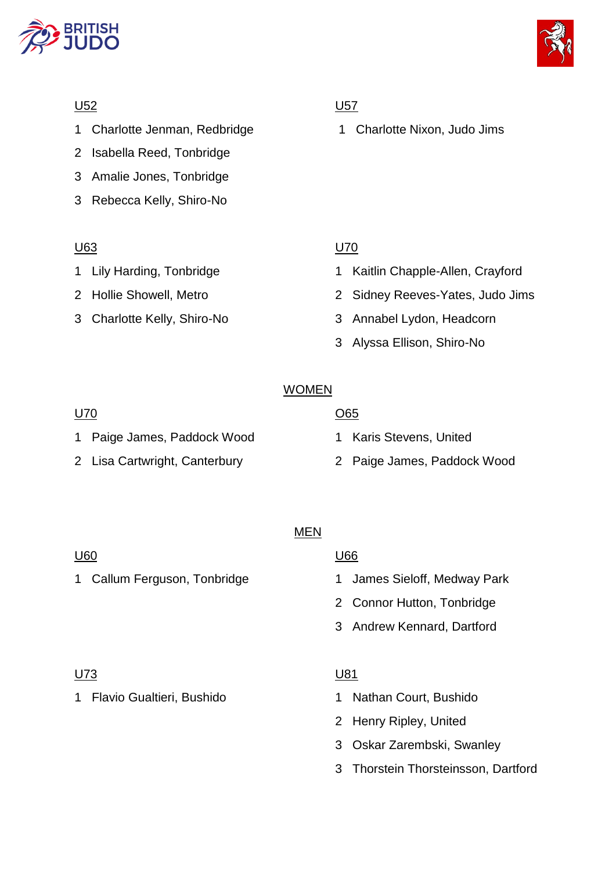



- 1 Charlotte Jenman, Redbridge 1 Charlotte Nixon, Judo Jims
- 2 Isabella Reed, Tonbridge
- 3 Amalie Jones, Tonbridge
- 3 Rebecca Kelly, Shiro-No

### U63 U70

- 
- 

# U52 U57

- 1 Lily Harding, Tonbridge 1 Kaitlin Chapple-Allen, Crayford
- 2 Hollie Showell, Metro 2 Sidney Reeves-Yates, Judo Jims
- 3 Charlotte Kelly, Shiro-No 3 Annabel Lydon, Headcorn
	- 3 Alyssa Ellison, Shiro-No

# WOMEN

# U70 O65 1 Paige James, Paddock Wood 1 Karis Stevens, United 2 Lisa Cartwright, Canterbury 2 Paige James, Paddock Wood

# MEN

### U60 U66

- 1 Callum Ferguson, Tonbridge 1 James Sieloff, Medway Park
	- 2 Connor Hutton, Tonbridge
	- 3 Andrew Kennard, Dartford

### U73 U81

1 Flavio Gualtieri, Bushido 1 Nathan Court, Bushido

- 
- 2 Henry Ripley, United
- 3 Oskar Zarembski, Swanley
- 3 Thorstein Thorsteinsson, Dartford